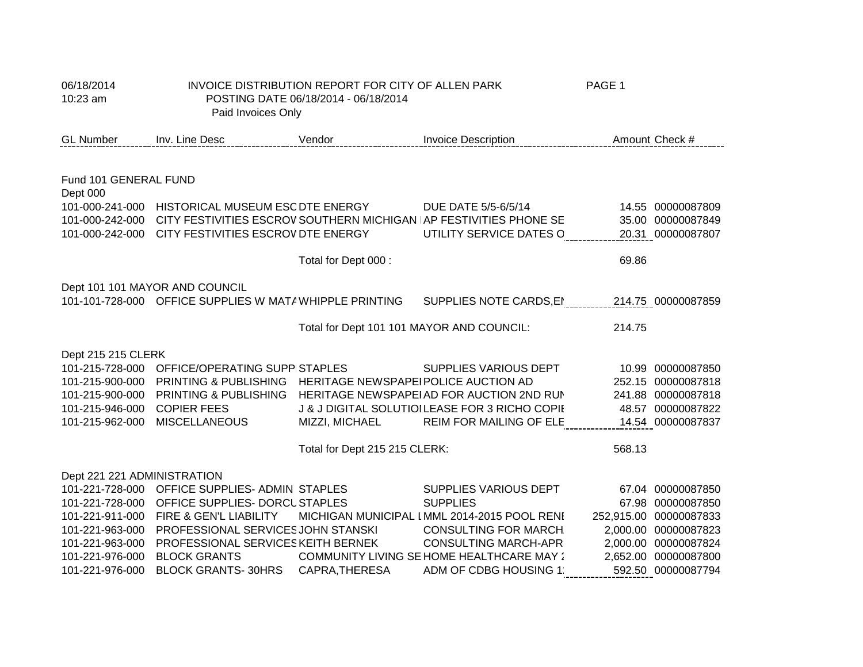| 06/18/2014<br>10:23 am             | Paid Invoices Only                                       | INVOICE DISTRIBUTION REPORT FOR CITY OF ALLEN PARK<br>POSTING DATE 06/18/2014 - 06/18/2014 |                                                                                                    | PAGE 1                                     |
|------------------------------------|----------------------------------------------------------|--------------------------------------------------------------------------------------------|----------------------------------------------------------------------------------------------------|--------------------------------------------|
| <b>GL Number</b>                   | <b>Example 12 Vendor</b><br><b>Inv. Line Desc</b>        |                                                                                            | <b>Invoice Description</b>                                                                         | Amount Check #                             |
|                                    |                                                          |                                                                                            |                                                                                                    |                                            |
| Fund 101 GENERAL FUND<br>Dept 000  |                                                          |                                                                                            |                                                                                                    |                                            |
|                                    | 101-000-241-000 HISTORICAL MUSEUM ESC DTE ENERGY         |                                                                                            | DUE DATE 5/5-6/5/14                                                                                | 14.55 00000087809                          |
| 101-000-242-000                    |                                                          |                                                                                            | CITY FESTIVITIES ESCROV SOUTHERN MICHIGAN AP FESTIVITIES PHONE SE                                  | 35.00 00000087849                          |
|                                    | 101-000-242-000 CITY FESTIVITIES ESCROV DTE ENERGY       |                                                                                            | UTILITY SERVICE DATES C 20.31 00000087807                                                          |                                            |
|                                    |                                                          | Total for Dept 000 :                                                                       |                                                                                                    | 69.86                                      |
|                                    | Dept 101 101 MAYOR AND COUNCIL                           |                                                                                            |                                                                                                    |                                            |
|                                    |                                                          |                                                                                            | 101-101-728-000 OFFICE SUPPLIES W MATA WHIPPLE PRINTING SUPPLIES NOTE CARDS,EI 214.75 000000087859 |                                            |
|                                    |                                                          | Total for Dept 101 101 MAYOR AND COUNCIL:                                                  |                                                                                                    | 214.75                                     |
| Dept 215 215 CLERK                 |                                                          |                                                                                            |                                                                                                    |                                            |
| 101-215-728-000                    | OFFICE/OPERATING SUPPISTAPLES                            |                                                                                            | <b>SUPPLIES VARIOUS DEPT</b>                                                                       | 10.99 00000087850                          |
| 101-215-900-000                    | PRINTING & PUBLISHING                                    | HERITAGE NEWSPAPEI POLICE AUCTION AD                                                       |                                                                                                    | 252.15 00000087818                         |
| 101-215-900-000                    | <b>PRINTING &amp; PUBLISHING</b>                         |                                                                                            | HERITAGE NEWSPAPEIAD FOR AUCTION 2ND RUN                                                           | 241.88 00000087818                         |
| 101-215-946-000                    | <b>COPIER FEES</b>                                       |                                                                                            | J & J DIGITAL SOLUTIOILEASE FOR 3 RICHO COPII                                                      | 48.57 00000087822                          |
| 101-215-962-000                    | <b>MISCELLANEOUS</b>                                     | MIZZI, MICHAEL                                                                             | REIM FOR MAILING OF ELE                                                                            | 14.54 00000087837                          |
|                                    |                                                          | Total for Dept 215 215 CLERK:                                                              |                                                                                                    | 568.13                                     |
| Dept 221 221 ADMINISTRATION        |                                                          |                                                                                            |                                                                                                    |                                            |
|                                    | 101-221-728-000 OFFICE SUPPLIES- ADMIN STAPLES           |                                                                                            | SUPPLIES VARIOUS DEPT                                                                              | 67.04 00000087850                          |
| 101-221-728-000                    | OFFICE SUPPLIES- DORCU STAPLES                           |                                                                                            | <b>SUPPLIES</b>                                                                                    | 67.98 00000087850                          |
| 101-221-911-000                    | FIRE & GEN'L LIABILITY                                   |                                                                                            | MICHIGAN MUNICIPAL I MML 2014-2015 POOL RENI                                                       | 252,915.00 00000087833                     |
| 101-221-963-000                    | PROFESSIONAL SERVICES JOHN STANSKI                       |                                                                                            | <b>CONSULTING FOR MARCH</b>                                                                        | 2,000.00 00000087823                       |
| 101-221-963-000                    | PROFESSIONAL SERVICES KEITH BERNEK                       |                                                                                            | <b>CONSULTING MARCH-APR</b>                                                                        | 2,000.00 00000087824                       |
| 101-221-976-000<br>101-221-976-000 | <b>BLOCK GRANTS</b><br>BLOCK GRANTS-30HRS CAPRA, THERESA |                                                                                            | <b>COMMUNITY LIVING SE HOME HEALTHCARE MAY :</b><br>ADM OF CDBG HOUSING 1:                         | 2,652.00 00000087800<br>592.50 00000087794 |
|                                    |                                                          |                                                                                            |                                                                                                    |                                            |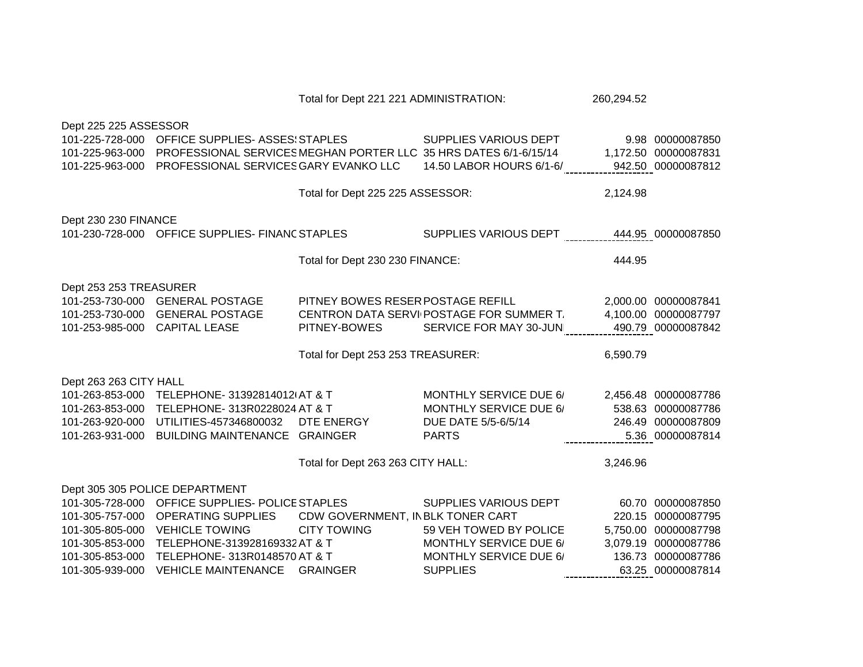|                                                                                |                                                                                                                                              | Total for Dept 221 221 ADMINISTRATION:            |                                                                                                | 260,294.52 |                                                                                      |
|--------------------------------------------------------------------------------|----------------------------------------------------------------------------------------------------------------------------------------------|---------------------------------------------------|------------------------------------------------------------------------------------------------|------------|--------------------------------------------------------------------------------------|
| Dept 225 225 ASSESSOR<br>101-225-728-000<br>101-225-963-000<br>101-225-963-000 | OFFICE SUPPLIES- ASSES: STAPLES<br>PROFESSIONAL SERVICES MEGHAN PORTER LLC 35 HRS DATES 6/1-6/15/14<br>PROFESSIONAL SERVICES GARY EVANKO LLC |                                                   | SUPPLIES VARIOUS DEPT<br>14.50 LABOR HOURS 6/1-6/                                              |            | 9.98 00000087850<br>1,172.50 00000087831<br>942.50 00000087812                       |
|                                                                                |                                                                                                                                              |                                                   |                                                                                                |            |                                                                                      |
|                                                                                |                                                                                                                                              | Total for Dept 225 225 ASSESSOR:                  |                                                                                                | 2,124.98   |                                                                                      |
| Dept 230 230 FINANCE                                                           |                                                                                                                                              |                                                   |                                                                                                |            |                                                                                      |
|                                                                                | 101-230-728-000 OFFICE SUPPLIES- FINANC STAPLES                                                                                              |                                                   | SUPPLIES VARIOUS DEPT                                                                          |            | 444.95 00000087850                                                                   |
|                                                                                |                                                                                                                                              | Total for Dept 230 230 FINANCE:                   |                                                                                                | 444.95     |                                                                                      |
| Dept 253 253 TREASURER<br>101-253-985-000 CAPITAL LEASE                        | 101-253-730-000 GENERAL POSTAGE<br>101-253-730-000 GENERAL POSTAGE                                                                           | PITNEY BOWES RESER POSTAGE REFILL<br>PITNEY-BOWES | CENTRON DATA SERVI POSTAGE FOR SUMMER T.<br>SERVICE FOR MAY 30-JUN                             |            | 2,000.00 00000087841<br>4,100.00 00000087797<br>490.79 00000087842                   |
|                                                                                |                                                                                                                                              | Total for Dept 253 253 TREASURER:                 |                                                                                                | 6,590.79   |                                                                                      |
| Dept 263 263 CITY HALL                                                         |                                                                                                                                              |                                                   |                                                                                                |            |                                                                                      |
| 101-263-853-000<br>101-263-853-000<br>101-263-920-000<br>101-263-931-000       | TELEPHONE- 31392814012(AT & T<br>TELEPHONE- 313R0228024 AT & T<br>UTILITIES-457346800032<br><b>BUILDING MAINTENANCE GRAINGER</b>             | DTE ENERGY                                        | <b>MONTHLY SERVICE DUE 6/</b><br>MONTHLY SERVICE DUE 6/<br>DUE DATE 5/5-6/5/14<br><b>PARTS</b> |            | 2,456.48 00000087786<br>538.63 00000087786<br>246.49 00000087809<br>5.36 00000087814 |
|                                                                                |                                                                                                                                              | Total for Dept 263 263 CITY HALL:                 |                                                                                                | 3,246.96   |                                                                                      |
|                                                                                | Dept 305 305 POLICE DEPARTMENT<br>101-305-728-000 OFFICE SUPPLIES- POLICE STAPLES                                                            |                                                   | SUPPLIES VARIOUS DEPT                                                                          |            | 60.70 00000087850                                                                    |
| 101-305-757-000                                                                | <b>OPERATING SUPPLIES</b>                                                                                                                    | CDW GOVERNMENT, IN BLK TONER CART                 |                                                                                                |            | 220.15 00000087795                                                                   |
| 101-305-805-000                                                                | <b>VEHICLE TOWING</b>                                                                                                                        | <b>CITY TOWING</b>                                | 59 VEH TOWED BY POLICE                                                                         |            | 5,750.00 00000087798                                                                 |
| 101-305-853-000                                                                | TELEPHONE-313928169332 AT & T                                                                                                                |                                                   | <b>MONTHLY SERVICE DUE 6/</b>                                                                  |            | 3,079.19 00000087786                                                                 |
| 101-305-853-000<br>101-305-939-000                                             | TELEPHONE- 313R0148570 AT & T<br><b>VEHICLE MAINTENANCE</b>                                                                                  | <b>GRAINGER</b>                                   | <b>MONTHLY SERVICE DUE 6/</b><br><b>SUPPLIES</b>                                               |            | 136.73 00000087786<br>63.25 00000087814                                              |
|                                                                                |                                                                                                                                              |                                                   |                                                                                                |            |                                                                                      |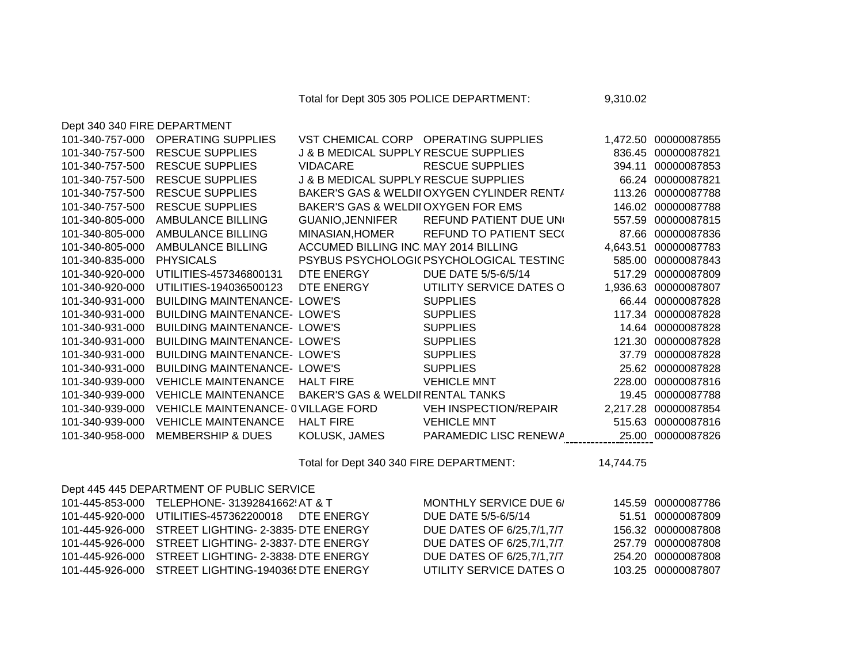Total for Dept 305 305 POLICE DEPARTMENT: 9,310.02

| Dept 340 340 FIRE DEPARTMENT |                                     |                                                 |                                            |          |                      |
|------------------------------|-------------------------------------|-------------------------------------------------|--------------------------------------------|----------|----------------------|
| 101-340-757-000              | <b>OPERATING SUPPLIES</b>           |                                                 | VST CHEMICAL CORP OPERATING SUPPLIES       |          | 1,472.50 00000087855 |
| 101-340-757-500              | <b>RESCUE SUPPLIES</b>              | J & B MEDICAL SUPPLY RESCUE SUPPLIES            |                                            | 836.45   | 00000087821          |
| 101-340-757-500              | <b>RESCUE SUPPLIES</b>              | <b>VIDACARE</b>                                 | <b>RESCUE SUPPLIES</b>                     | 394.11   | 00000087853          |
| 101-340-757-500              | <b>RESCUE SUPPLIES</b>              | <b>J &amp; B MEDICAL SUPPLY RESCUE SUPPLIES</b> |                                            | 66.24    | 00000087821          |
| 101-340-757-500              | <b>RESCUE SUPPLIES</b>              |                                                 | BAKER'S GAS & WELDII OXYGEN CYLINDER RENT/ | 113.26   | 00000087788          |
| 101-340-757-500              | <b>RESCUE SUPPLIES</b>              | BAKER'S GAS & WELDII OXYGEN FOR EMS             |                                            | 146.02   | 00000087788          |
| 101-340-805-000              | <b>AMBULANCE BILLING</b>            | <b>GUANIO, JENNIFER</b>                         | REFUND PATIENT DUE UN                      | 557.59   | 00000087815          |
| 101-340-805-000              | AMBULANCE BILLING                   | MINASIAN, HOMER                                 | <b>REFUND TO PATIENT SEC(</b>              | 87.66    | 00000087836          |
| 101-340-805-000              | AMBULANCE BILLING                   | ACCUMED BILLING INC. MAY 2014 BILLING           |                                            | 4,643.51 | 00000087783          |
| 101-340-835-000              | <b>PHYSICALS</b>                    |                                                 | PSYBUS PSYCHOLOGIC PSYCHOLOGICAL TESTING   | 585.00   | 00000087843          |
| 101-340-920-000              | UTILITIES-457346800131              | DTE ENERGY                                      | DUE DATE 5/5-6/5/14                        | 517.29   | 00000087809          |
| 101-340-920-000              | UTILITIES-194036500123              | DTE ENERGY                                      | UTILITY SERVICE DATES C                    | 1,936.63 | 00000087807          |
| 101-340-931-000              | <b>BUILDING MAINTENANCE- LOWE'S</b> |                                                 | <b>SUPPLIES</b>                            | 66.44    | 00000087828          |
| 101-340-931-000              | <b>BUILDING MAINTENANCE- LOWE'S</b> |                                                 | <b>SUPPLIES</b>                            | 117.34   | 00000087828          |
| 101-340-931-000              | <b>BUILDING MAINTENANCE- LOWE'S</b> |                                                 | <b>SUPPLIES</b>                            | 14.64    | 00000087828          |
| 101-340-931-000              | <b>BUILDING MAINTENANCE- LOWE'S</b> |                                                 | <b>SUPPLIES</b>                            | 121.30   | 00000087828          |
| 101-340-931-000              | <b>BUILDING MAINTENANCE- LOWE'S</b> |                                                 | <b>SUPPLIES</b>                            | 37.79    | 00000087828          |
| 101-340-931-000              | <b>BUILDING MAINTENANCE- LOWE'S</b> |                                                 | <b>SUPPLIES</b>                            | 25.62    | 00000087828          |
| 101-340-939-000              | <b>VEHICLE MAINTENANCE</b>          | <b>HALT FIRE</b>                                | <b>VEHICLE MNT</b>                         | 228.00   | 00000087816          |
| 101-340-939-000              | <b>VEHICLE MAINTENANCE</b>          | BAKER'S GAS & WELDII RENTAL TANKS               |                                            | 19.45    | 00000087788          |
| 101-340-939-000              | VEHICLE MAINTENANCE- 0 VILLAGE FORD |                                                 | <b>VEH INSPECTION/REPAIR</b>               | 2,217.28 | 00000087854          |
| 101-340-939-000              | <b>VEHICLE MAINTENANCE</b>          | <b>HALT FIRE</b>                                | <b>VEHICLE MNT</b>                         | 515.63   | 00000087816          |
| 101-340-958-000              | <b>MEMBERSHIP &amp; DUES</b>        | KOLUSK, JAMES                                   | PARAMEDIC LISC RENEWA                      | 25.00    | 00000087826          |

Total for Dept 340 340 FIRE DEPARTMENT: 14,744.75

|                 | Dept 445 445 DEPARTMENT OF PUBLIC SERVICE      |                           |                    |
|-----------------|------------------------------------------------|---------------------------|--------------------|
|                 | 101-445-853-000 TELEPHONE- 31392841662! AT & T | MONTHLY SERVICE DUE 6/    | 145.59 00000087786 |
| 101-445-920-000 | UTILITIES-457362200018 DTE ENERGY              | DUE DATE 5/5-6/5/14       | 51.51 00000087809  |
| 101-445-926-000 | STREET LIGHTING- 2-3835-DTE ENERGY             | DUE DATES OF 6/25,7/1,7/7 | 156.32 00000087808 |
| 101-445-926-000 | STREET LIGHTING- 2-3837-DTE ENERGY             | DUE DATES OF 6/25.7/1.7/7 | 257.79 00000087808 |
| 101-445-926-000 | STREET LIGHTING- 2-3838-DTE ENERGY             | DUE DATES OF 6/25.7/1.7/7 | 254.20 00000087808 |
| 101-445-926-000 | STREET LIGHTING-194036! DTE ENERGY             | UTILITY SERVICE DATES O   | 103.25 00000087807 |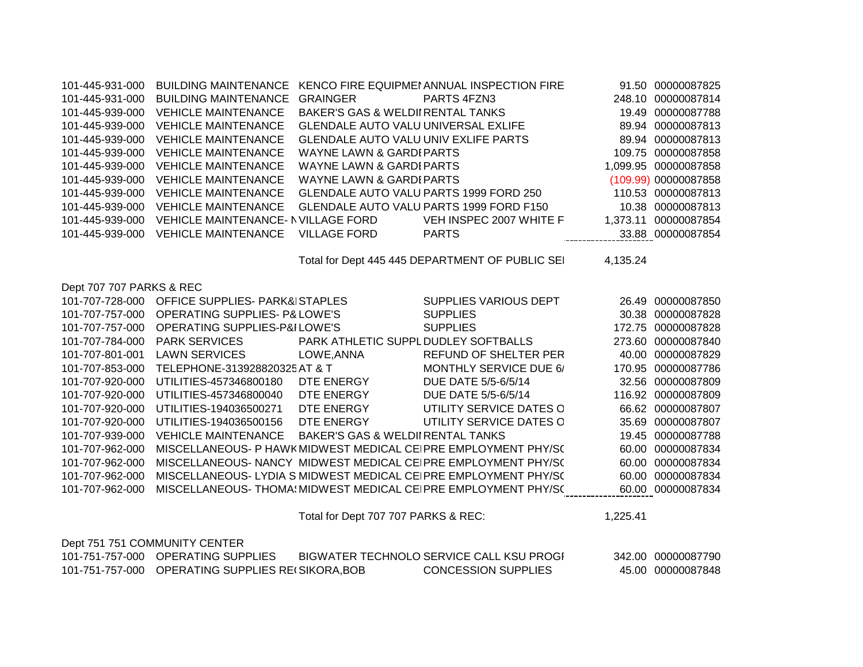| 101-445-931-000          | <b>BUILDING MAINTENANCE</b>                       |                                              | KENCO FIRE EQUIPMEI ANNUAL INSPECTION FIRE                                  |          | 91.50 00000087825    |
|--------------------------|---------------------------------------------------|----------------------------------------------|-----------------------------------------------------------------------------|----------|----------------------|
| 101-445-931-000          | <b>BUILDING MAINTENANCE</b>                       | <b>GRAINGER</b>                              | PARTS 4FZN3                                                                 |          | 248.10 00000087814   |
| 101-445-939-000          | <b>VEHICLE MAINTENANCE</b>                        | <b>BAKER'S GAS &amp; WELDII RENTAL TANKS</b> |                                                                             |          | 19.49 00000087788    |
| 101-445-939-000          | <b>VEHICLE MAINTENANCE</b>                        | GLENDALE AUTO VALU UNIVERSAL EXLIFE          |                                                                             |          | 89.94 00000087813    |
| 101-445-939-000          | <b>VEHICLE MAINTENANCE</b>                        | GLENDALE AUTO VALU UNIV EXLIFE PARTS         |                                                                             |          | 89.94 00000087813    |
| 101-445-939-000          | <b>VEHICLE MAINTENANCE</b>                        | <b>WAYNE LAWN &amp; GARDI PARTS</b>          |                                                                             |          | 109.75 00000087858   |
| 101-445-939-000          | <b>VEHICLE MAINTENANCE</b>                        | <b>WAYNE LAWN &amp; GARDI PARTS</b>          |                                                                             |          | 1,099.95 00000087858 |
| 101-445-939-000          | <b>VEHICLE MAINTENANCE</b>                        | <b>WAYNE LAWN &amp; GARDI PARTS</b>          |                                                                             |          | (109.99) 00000087858 |
| 101-445-939-000          | <b>VEHICLE MAINTENANCE</b>                        |                                              | GLENDALE AUTO VALU PARTS 1999 FORD 250                                      |          | 110.53 00000087813   |
| 101-445-939-000          | <b>VEHICLE MAINTENANCE</b>                        |                                              | GLENDALE AUTO VALU PARTS 1999 FORD F150                                     |          | 10.38 00000087813    |
| 101-445-939-000          | VEHICLE MAINTENANCE- NVILLAGE FORD                |                                              | VEH INSPEC 2007 WHITE F                                                     |          | 1,373.11 00000087854 |
| 101-445-939-000          | <b>VEHICLE MAINTENANCE</b>                        | <b>VILLAGE FORD</b>                          | <b>PARTS</b>                                                                |          | 33.88 00000087854    |
|                          |                                                   |                                              |                                                                             |          |                      |
|                          |                                                   |                                              | Total for Dept 445 445 DEPARTMENT OF PUBLIC SEI                             | 4,135.24 |                      |
| Dept 707 707 PARKS & REC |                                                   |                                              |                                                                             |          |                      |
| 101-707-728-000          | OFFICE SUPPLIES- PARK& STAPLES                    |                                              | SUPPLIES VARIOUS DEPT                                                       |          | 26.49 00000087850    |
| 101-707-757-000          | <b>OPERATING SUPPLIES- P&amp; LOWE'S</b>          |                                              | <b>SUPPLIES</b>                                                             |          | 30.38 00000087828    |
| 101-707-757-000          | <b>OPERATING SUPPLIES-P&amp;ILOWE'S</b>           |                                              | <b>SUPPLIES</b>                                                             |          | 172.75 00000087828   |
| 101-707-784-000          | <b>PARK SERVICES</b>                              | PARK ATHLETIC SUPPL DUDLEY SOFTBALLS         |                                                                             |          | 273.60 00000087840   |
| 101-707-801-001          | <b>LAWN SERVICES</b>                              | LOWE, ANNA                                   | REFUND OF SHELTER PER                                                       |          | 40.00 00000087829    |
| 101-707-853-000          | TELEPHONE-313928820325 AT & T                     |                                              | <b>MONTHLY SERVICE DUE 6/</b>                                               |          | 170.95 00000087786   |
| 101-707-920-000          | UTILITIES-457346800180                            | DTE ENERGY                                   | DUE DATE 5/5-6/5/14                                                         |          | 32.56 00000087809    |
| 101-707-920-000          | UTILITIES-457346800040                            | DTE ENERGY                                   | DUE DATE 5/5-6/5/14                                                         |          | 116.92 00000087809   |
| 101-707-920-000          | UTILITIES-194036500271                            | DTE ENERGY                                   | UTILITY SERVICE DATES O                                                     |          | 66.62 00000087807    |
| 101-707-920-000          | UTILITIES-194036500156                            | DTE ENERGY                                   | UTILITY SERVICE DATES O                                                     |          | 35.69 00000087807    |
| 101-707-939-000          | <b>VEHICLE MAINTENANCE</b>                        | <b>BAKER'S GAS &amp; WELDII RENTAL TANKS</b> |                                                                             |          | 19.45 00000087788    |
| 101-707-962-000          |                                                   |                                              | MISCELLANEOUS- P HAWK MIDWEST MEDICAL CEIPRE EMPLOYMENT PHY/S(              |          | 60.00 00000087834    |
| 101-707-962-000          |                                                   |                                              | MISCELLANEOUS- NANCY MIDWEST MEDICAL CEIPRE EMPLOYMENT PHY/S(               |          | 60.00 00000087834    |
| 101-707-962-000          |                                                   |                                              | MISCELLANEOUS- LYDIA S MIDWEST MEDICAL CEIPRE EMPLOYMENT PHY/S(             |          | 60.00 00000087834    |
| 101-707-962-000          |                                                   |                                              | MISCELLANEOUS- THOMA! MIDWEST MEDICAL CEIPRE EMPLOYMENT PHY/S(              |          | 60.00 00000087834    |
|                          |                                                   | Total for Dept 707 707 PARKS & REC:          |                                                                             | 1,225.41 |                      |
|                          |                                                   |                                              |                                                                             |          |                      |
|                          | Dept 751 751 COMMUNITY CENTER                     |                                              |                                                                             |          |                      |
|                          |                                                   |                                              | 101-751-757-000 OPERATING SUPPLIES BIGWATER TECHNOLO SERVICE CALL KSU PROGI |          | 342.00 00000087790   |
|                          | 101-751-757-000 OPERATING SUPPLIES RECSIKORA, BOB |                                              | <b>CONCESSION SUPPLIES</b>                                                  |          | 45.00 00000087848    |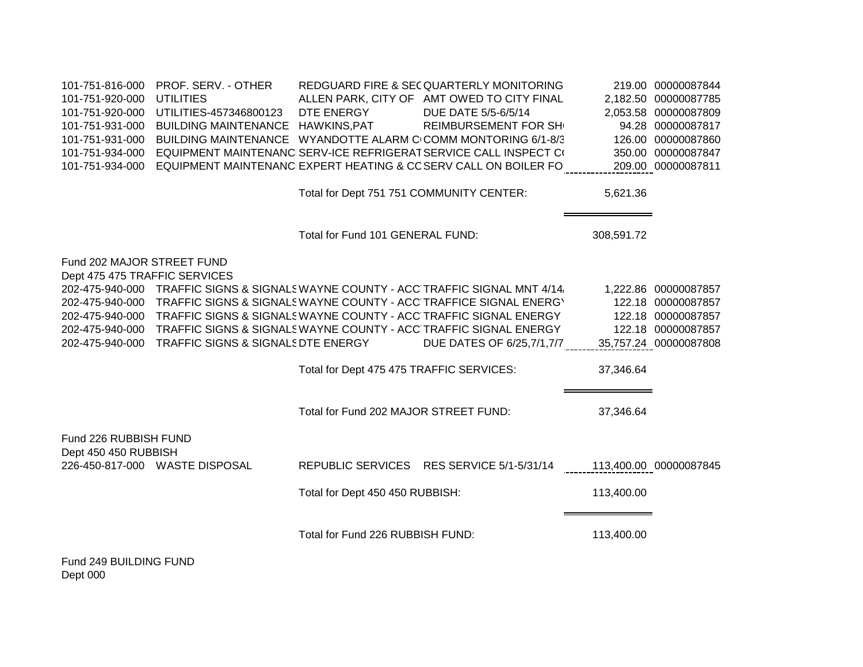| 101-751-816-000                                             | PROF. SERV. - OTHER                                                                |                                          | REDGUARD FIRE & SECQUARTERLY MONITORING    |                        | 219.00 00000087844    |
|-------------------------------------------------------------|------------------------------------------------------------------------------------|------------------------------------------|--------------------------------------------|------------------------|-----------------------|
| 101-751-920-000                                             | <b>UTILITIES</b>                                                                   |                                          | ALLEN PARK, CITY OF AMT OWED TO CITY FINAL |                        | 2,182.50 00000087785  |
| 101-751-920-000                                             | UTILITIES-457346800123                                                             | DTE ENERGY                               | DUE DATE 5/5-6/5/14                        |                        | 2,053.58 00000087809  |
| 101-751-931-000                                             | BUILDING MAINTENANCE HAWKINS, PAT                                                  |                                          | <b>REIMBURSEMENT FOR SH</b>                |                        | 94.28 00000087817     |
| 101-751-931-000                                             | BUILDING MAINTENANCE WYANDOTTE ALARM C COMM MONTORING 6/1-8/3                      |                                          |                                            |                        | 126.00 00000087860    |
| 101-751-934-000                                             | EQUIPMENT MAINTENANC SERV-ICE REFRIGERAT SERVICE CALL INSPECT C(                   |                                          |                                            |                        | 350.00 00000087847    |
| 101-751-934-000                                             | EQUIPMENT MAINTENANC EXPERT HEATING & CC SERV CALL ON BOILER FO                    |                                          |                                            |                        | 209.00 00000087811    |
|                                                             |                                                                                    | Total for Dept 751 751 COMMUNITY CENTER: |                                            | 5,621.36               |                       |
|                                                             |                                                                                    | Total for Fund 101 GENERAL FUND:         |                                            | 308,591.72             |                       |
| Fund 202 MAJOR STREET FUND<br>Dept 475 475 TRAFFIC SERVICES |                                                                                    |                                          |                                            |                        |                       |
|                                                             | 202-475-940-000 TRAFFIC SIGNS & SIGNALS WAYNE COUNTY - ACC TRAFFIC SIGNAL MNT 4/14 |                                          |                                            |                        | 1,222.86 00000087857  |
| 202-475-940-000                                             | TRAFFIC SIGNS & SIGNALS WAYNE COUNTY - ACC TRAFFICE SIGNAL ENERGY                  |                                          |                                            |                        | 122.18 00000087857    |
|                                                             | 202-475-940-000 TRAFFIC SIGNS & SIGNALS WAYNE COUNTY - ACC TRAFFIC SIGNAL ENERGY   |                                          |                                            |                        | 122.18 00000087857    |
|                                                             | 202-475-940-000 TRAFFIC SIGNS & SIGNALS WAYNE COUNTY - ACC TRAFFIC SIGNAL ENERGY   |                                          |                                            |                        | 122.18 00000087857    |
|                                                             | 202-475-940-000 TRAFFIC SIGNS & SIGNALS DTE ENERGY                                 |                                          | DUE DATES OF 6/25,7/1,7/7                  |                        | 35,757.24 00000087808 |
|                                                             |                                                                                    | Total for Dept 475 475 TRAFFIC SERVICES: |                                            | 37,346.64              |                       |
|                                                             |                                                                                    | Total for Fund 202 MAJOR STREET FUND:    |                                            | 37,346.64              |                       |
| Fund 226 RUBBISH FUND<br>Dept 450 450 RUBBISH               |                                                                                    |                                          |                                            |                        |                       |
|                                                             | 226-450-817-000 WASTE DISPOSAL                                                     |                                          | REPUBLIC SERVICES RES SERVICE 5/1-5/31/14  | 113,400.00 00000087845 |                       |
|                                                             |                                                                                    | Total for Dept 450 450 RUBBISH:          |                                            | 113,400.00             |                       |
|                                                             |                                                                                    | Total for Fund 226 RUBBISH FUND:         |                                            | 113,400.00             |                       |
| Fund 249 BUILDING FUND<br>Dept 000                          |                                                                                    |                                          |                                            |                        |                       |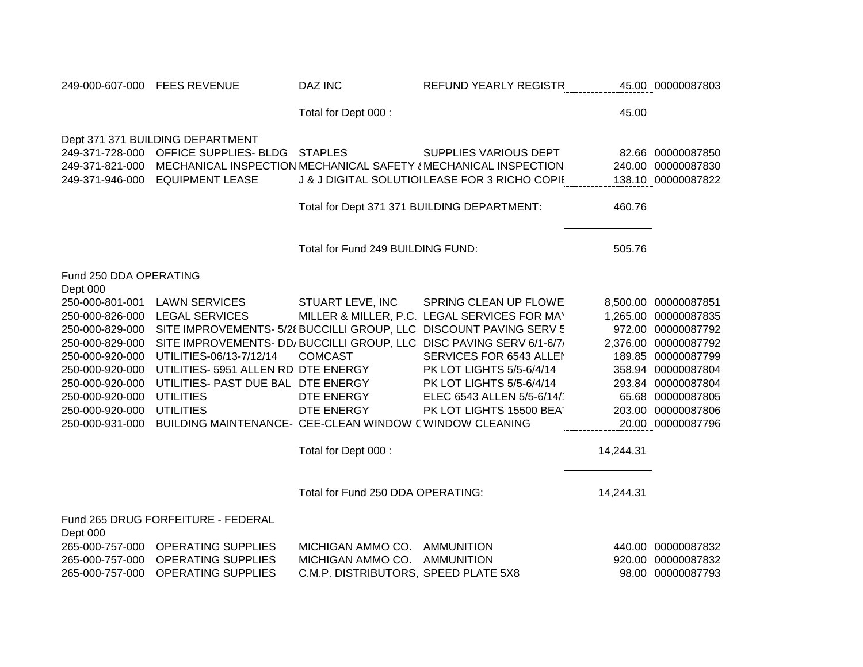| 249-000-607-000 FEES REVENUE |                                                         | <b>DAZ INC</b>                       | REFUND YEARLY REGISTR                                               |           | 45.00 00000087803    |
|------------------------------|---------------------------------------------------------|--------------------------------------|---------------------------------------------------------------------|-----------|----------------------|
|                              |                                                         | Total for Dept 000 :                 |                                                                     | 45.00     |                      |
|                              | Dept 371 371 BUILDING DEPARTMENT                        |                                      |                                                                     |           |                      |
| 249-371-728-000              | OFFICE SUPPLIES- BLDG STAPLES                           |                                      | SUPPLIES VARIOUS DEPT                                               |           | 82.66 00000087850    |
| 249-371-821-000              |                                                         |                                      | MECHANICAL INSPECTION MECHANICAL SAFETY { MECHANICAL INSPECTION     |           | 240.00 00000087830   |
| 249-371-946-000              | <b>EQUIPMENT LEASE</b>                                  |                                      | J & J DIGITAL SOLUTIOILEASE FOR 3 RICHO COPII                       |           | 138.10 00000087822   |
|                              |                                                         |                                      | Total for Dept 371 371 BUILDING DEPARTMENT:                         | 460.76    |                      |
|                              |                                                         |                                      |                                                                     |           |                      |
|                              |                                                         | Total for Fund 249 BUILDING FUND:    |                                                                     | 505.76    |                      |
| Fund 250 DDA OPERATING       |                                                         |                                      |                                                                     |           |                      |
| Dept 000                     |                                                         |                                      |                                                                     |           |                      |
| 250-000-801-001              | <b>LAWN SERVICES</b>                                    | STUART LEVE, INC                     | SPRING CLEAN UP FLOWE                                               |           | 8,500.00 00000087851 |
| 250-000-826-000              | <b>LEGAL SERVICES</b>                                   |                                      | MILLER & MILLER, P.C. LEGAL SERVICES FOR MAY                        |           | 1,265.00 00000087835 |
| 250-000-829-000              |                                                         |                                      | SITE IMPROVEMENTS- 5/28 BUCCILLI GROUP, LLC DISCOUNT PAVING SERV 5  |           | 972.00 00000087792   |
| 250-000-829-000              |                                                         |                                      | SITE IMPROVEMENTS- DD/BUCCILLI GROUP, LLC DISC PAVING SERV 6/1-6/7/ |           | 2,376.00 00000087792 |
| 250-000-920-000              | UTILITIES-06/13-7/12/14                                 | <b>COMCAST</b>                       | SERVICES FOR 6543 ALLEI                                             |           | 189.85 00000087799   |
| 250-000-920-000              | UTILITIES- 5951 ALLEN RD DTE ENERGY                     |                                      | PK LOT LIGHTS 5/5-6/4/14                                            |           | 358.94 00000087804   |
| 250-000-920-000              | UTILITIES- PAST DUE BAL DTE ENERGY                      |                                      | PK LOT LIGHTS 5/5-6/4/14                                            |           | 293.84 00000087804   |
| 250-000-920-000              | <b>UTILITIES</b>                                        | DTE ENERGY                           | ELEC 6543 ALLEN 5/5-6/14/                                           |           | 65.68 00000087805    |
| 250-000-920-000              | <b>UTILITIES</b>                                        | DTE ENERGY                           | PK LOT LIGHTS 15500 BEAT                                            | 203.00    | 00000087806          |
| 250-000-931-000              | BUILDING MAINTENANCE- CEE-CLEAN WINDOW CWINDOW CLEANING |                                      |                                                                     |           | 20.00 00000087796    |
|                              |                                                         | Total for Dept 000 :                 |                                                                     | 14,244.31 |                      |
|                              |                                                         |                                      |                                                                     |           |                      |
|                              |                                                         | Total for Fund 250 DDA OPERATING:    |                                                                     | 14,244.31 |                      |
| Dept 000                     | Fund 265 DRUG FORFEITURE - FEDERAL                      |                                      |                                                                     |           |                      |
|                              | 265-000-757-000 OPERATING SUPPLIES                      | MICHIGAN AMMO CO.                    | <b>AMMUNITION</b>                                                   |           | 440.00 00000087832   |
| 265-000-757-000              | <b>OPERATING SUPPLIES</b>                               | MICHIGAN AMMO CO.                    | <b>AMMUNITION</b>                                                   | 920.00    | 00000087832          |
| 265-000-757-000              | <b>OPERATING SUPPLIES</b>                               | C.M.P. DISTRIBUTORS, SPEED PLATE 5X8 |                                                                     |           | 98.00 00000087793    |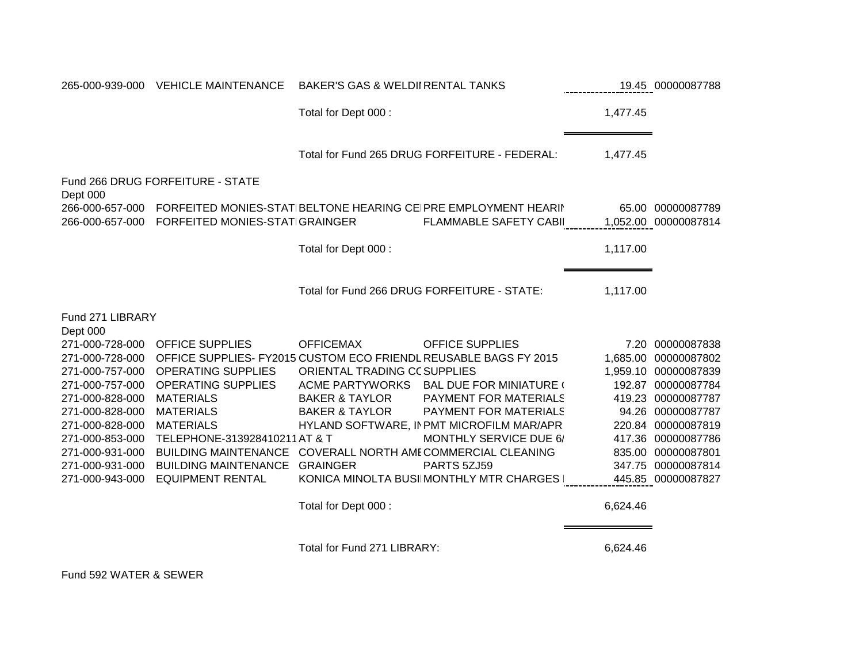|                             | 265-000-939-000 VEHICLE MAINTENANCE                              | <b>BAKER'S GAS &amp; WELDII RENTAL TANKS</b> |                                                                                                                 |          | 19.45 00000087788                         |
|-----------------------------|------------------------------------------------------------------|----------------------------------------------|-----------------------------------------------------------------------------------------------------------------|----------|-------------------------------------------|
|                             |                                                                  | Total for Dept 000 :                         |                                                                                                                 | 1,477.45 |                                           |
|                             |                                                                  |                                              | Total for Fund 265 DRUG FORFEITURE - FEDERAL:                                                                   | 1,477.45 |                                           |
| Dept 000                    | Fund 266 DRUG FORFEITURE - STATE                                 |                                              |                                                                                                                 |          |                                           |
| 266-000-657-000             | FORFEITED MONIES-STATIGRAINGER                                   |                                              | 266-000-657-000 FORFEITED MONIES-STATIBELTONE HEARING CEIPRE EMPLOYMENT HEARII<br><b>FLAMMABLE SAFETY CABII</b> |          | 65.00 00000087789<br>1,052.00 00000087814 |
|                             |                                                                  | Total for Dept 000 :                         |                                                                                                                 | 1,117.00 |                                           |
|                             |                                                                  |                                              | Total for Fund 266 DRUG FORFEITURE - STATE:                                                                     | 1,117.00 |                                           |
| Fund 271 LIBRARY            |                                                                  |                                              |                                                                                                                 |          |                                           |
| Dept 000<br>271-000-728-000 | <b>OFFICE SUPPLIES</b>                                           | <b>OFFICEMAX</b>                             | <b>OFFICE SUPPLIES</b>                                                                                          |          | 7.20 00000087838                          |
| 271-000-728-000             | OFFICE SUPPLIES- FY2015 CUSTOM ECO FRIENDL REUSABLE BAGS FY 2015 |                                              |                                                                                                                 | 1,685.00 | 00000087802                               |
| 271-000-757-000             | <b>OPERATING SUPPLIES</b>                                        | ORIENTAL TRADING CC SUPPLIES                 |                                                                                                                 |          | 1,959.10 00000087839                      |
| 271-000-757-000             | <b>OPERATING SUPPLIES</b>                                        | ACME PARTYWORKS                              | BAL DUE FOR MINIATURE (                                                                                         |          | 192.87 00000087784                        |
| 271-000-828-000             | <b>MATERIALS</b>                                                 | <b>BAKER &amp; TAYLOR</b>                    | PAYMENT FOR MATERIALS                                                                                           |          | 419.23 00000087787                        |
| 271-000-828-000             | <b>MATERIALS</b>                                                 | <b>BAKER &amp; TAYLOR</b>                    | PAYMENT FOR MATERIALS                                                                                           |          | 94.26 00000087787                         |
| 271-000-828-000             | <b>MATERIALS</b>                                                 |                                              | HYLAND SOFTWARE, IN PMT MICROFILM MAR/APR                                                                       |          | 220.84 00000087819                        |
| 271-000-853-000             | TELEPHONE-313928410211 AT & T                                    |                                              | <b>MONTHLY SERVICE DUE 6/</b>                                                                                   |          | 417.36 00000087786                        |
| 271-000-931-000             | <b>BUILDING MAINTENANCE</b>                                      |                                              | COVERALL NORTH AMECOMMERCIAL CLEANING                                                                           |          | 835.00 00000087801                        |
| 271-000-931-000             | <b>BUILDING MAINTENANCE</b>                                      | <b>GRAINGER</b>                              | PARTS 5ZJ59                                                                                                     | 347.75   | 00000087814                               |
| 271-000-943-000             | <b>EQUIPMENT RENTAL</b>                                          |                                              | KONICA MINOLTA BUSII MONTHLY MTR CHARGES                                                                        |          | 445.85 00000087827                        |
|                             |                                                                  | Total for Dept 000 :                         |                                                                                                                 | 6,624.46 |                                           |
|                             |                                                                  | Total for Fund 271 LIBRARY:                  |                                                                                                                 | 6,624.46 |                                           |

Fund 592 WATER & SEWER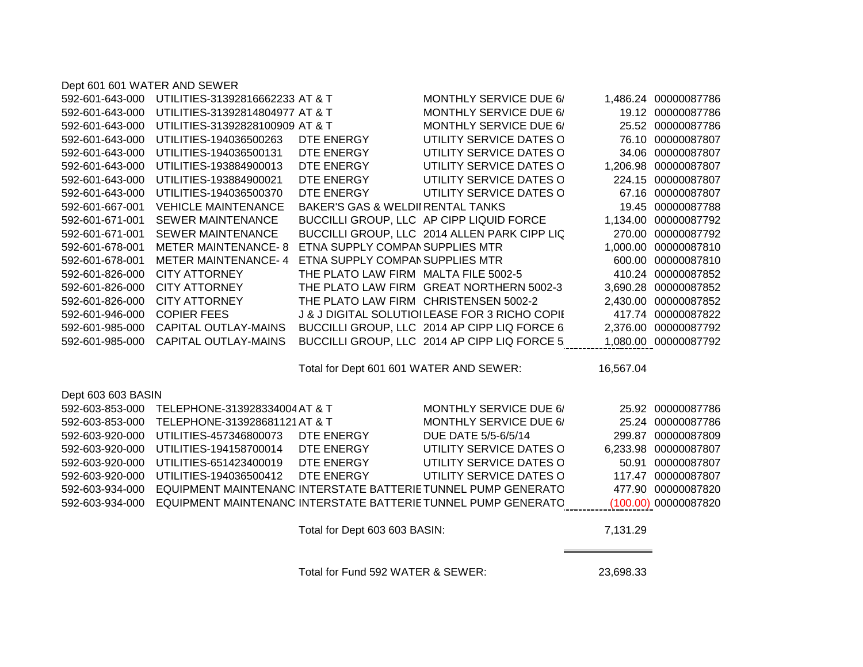| Dept 601 601 WATER AND SEWER |  |  |  |  |
|------------------------------|--|--|--|--|
|------------------------------|--|--|--|--|

| 592-601-643-000    | UTILITIES-31392816662233 AT & T |                                       | MONTHLY SERVICE DUE 6/                                   |           | 1,486.24 00000087786 |
|--------------------|---------------------------------|---------------------------------------|----------------------------------------------------------|-----------|----------------------|
| 592-601-643-000    | UTILITIES-31392814804977 AT & T |                                       | MONTHLY SERVICE DUE 6/                                   |           | 19.12 00000087786    |
| 592-601-643-000    | UTILITIES-31392828100909 AT & T |                                       | MONTHLY SERVICE DUE 6/                                   |           | 25.52 00000087786    |
| 592-601-643-000    | UTILITIES-194036500263          | DTE ENERGY                            | UTILITY SERVICE DATES O                                  |           | 76.10 00000087807    |
| 592-601-643-000    | UTILITIES-194036500131          | DTE ENERGY                            | UTILITY SERVICE DATES O                                  |           | 34.06 00000087807    |
| 592-601-643-000    | UTILITIES-193884900013          | DTE ENERGY                            | UTILITY SERVICE DATES O                                  |           | 1,206.98 00000087807 |
| 592-601-643-000    | UTILITIES-193884900021          | DTE ENERGY                            | UTILITY SERVICE DATES O                                  |           | 224.15 00000087807   |
| 592-601-643-000    | UTILITIES-194036500370          | DTE ENERGY                            | UTILITY SERVICE DATES C                                  |           | 67.16 00000087807    |
| 592-601-667-001    | <b>VEHICLE MAINTENANCE</b>      | BAKER'S GAS & WELDII RENTAL TANKS     |                                                          |           | 19.45 00000087788    |
| 592-601-671-001    | <b>SEWER MAINTENANCE</b>        |                                       | BUCCILLI GROUP, LLC AP CIPP LIQUID FORCE                 |           | 1,134.00 00000087792 |
| 592-601-671-001    | <b>SEWER MAINTENANCE</b>        |                                       | BUCCILLI GROUP, LLC 2014 ALLEN PARK CIPP LIC             |           | 270.00 00000087792   |
| 592-601-678-001    | <b>METER MAINTENANCE-8</b>      | ETNA SUPPLY COMPAN SUPPLIES MTR       |                                                          |           | 1,000.00 00000087810 |
| 592-601-678-001    | METER MAINTENANCE-4             | ETNA SUPPLY COMPAN SUPPLIES MTR       |                                                          |           | 600.00 00000087810   |
| 592-601-826-000    | <b>CITY ATTORNEY</b>            |                                       | THE PLATO LAW FIRM MALTA FILE 5002-5                     |           | 410.24 00000087852   |
| 592-601-826-000    | CITY ATTORNEY                   |                                       | THE PLATO LAW FIRM GREAT NORTHERN 5002-3                 |           | 3,690.28 00000087852 |
| 592-601-826-000    | CITY ATTORNEY                   | THE PLATO LAW FIRM CHRISTENSEN 5002-2 |                                                          |           | 2,430.00 00000087852 |
| 592-601-946-000    | <b>COPIER FEES</b>              |                                       | <b>J &amp; J DIGITAL SOLUTIOILEASE FOR 3 RICHO COPII</b> |           | 417.74 00000087822   |
| 592-601-985-000    | CAPITAL OUTLAY-MAINS            |                                       | BUCCILLI GROUP, LLC 2014 AP CIPP LIQ FORCE 6             |           | 2,376.00 00000087792 |
| 592-601-985-000    | <b>CAPITAL OUTLAY-MAINS</b>     |                                       | BUCCILLI GROUP, LLC 2014 AP CIPP LIQ FORCE 5             |           | 1,080.00 00000087792 |
|                    |                                 |                                       | Total for Dept 601 601 WATER AND SEWER:                  | 16,567.04 |                      |
| Dept 603 603 BASIN |                                 |                                       |                                                          |           |                      |

| <b>PUPI 000 000 DI 1011 1</b> |                                                               |            |                         |                      |
|-------------------------------|---------------------------------------------------------------|------------|-------------------------|----------------------|
| 592-603-853-000               | TELEPHONE-313928334004 AT & T                                 |            | MONTHLY SERVICE DUE 6/  | 25.92 00000087786    |
| 592-603-853-000               | TELEPHONE-313928681121 AT & T                                 |            | MONTHLY SERVICE DUE 6/  | 25.24 00000087786    |
| 592-603-920-000               | UTILITIES-457346800073                                        | DTE ENERGY | DUE DATE 5/5-6/5/14     | 299.87 00000087809   |
| 592-603-920-000               | UTILITIES-194158700014                                        | DTE ENERGY | UTILITY SERVICE DATES C | 6,233.98 00000087807 |
| 592-603-920-000               | UTILITIES-651423400019                                        | DTE ENERGY | UTILITY SERVICE DATES C | 50.91 00000087807    |
| 592-603-920-000               | UTILITIES-194036500412                                        | DTE ENERGY | UTILITY SERVICE DATES C | 117.47 00000087807   |
| 592-603-934-000               | EQUIPMENT MAINTENANC INTERSTATE BATTERIETUNNEL PUMP GENERATC  |            |                         | 477.90 00000087820   |
| 592-603-934-000               | EQUIPMENT MAINTENANC INTERSTATE BATTERIE TUNNEL PUMP GENERATC |            |                         | (100.00) 00000087820 |
|                               |                                                               |            |                         |                      |

Total for Dept 603 603 BASIN: 7,131.29

Total for Fund 592 WATER & SEWER: 23,698.33